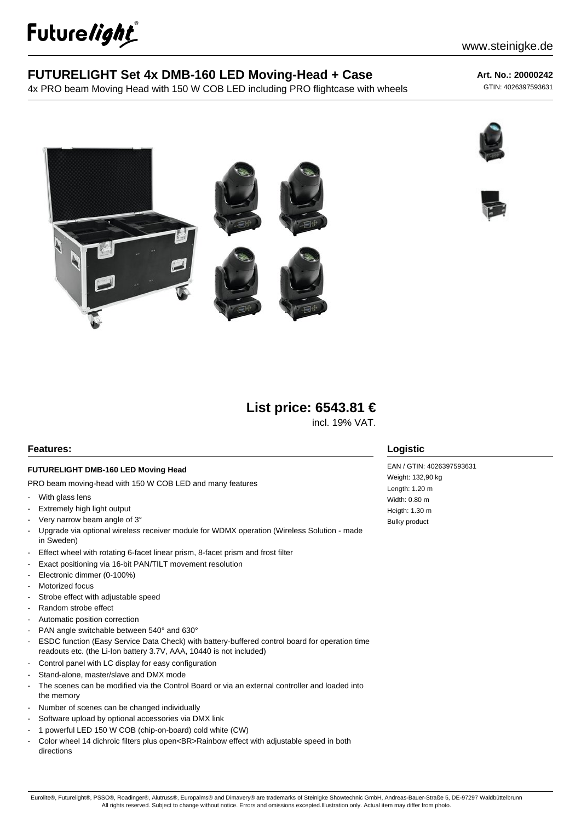

# **FUTURELIGHT Set 4x DMB-160 LED Moving-Head + Case**

4x PRO beam Moving Head with 150 W COB LED including PRO flightcase with wheels

#### **Art. No.: 20000242**

GTIN: 4026397593631







# **List price: 6543.81 €**

incl. 19% VAT.

#### **Features:**

#### **FUTURELIGHT DMB-160 LED Moving Head**

PRO beam moving-head with 150 W COB LED and many features

- With glass lens
- Extremely high light output
- Very narrow beam angle of 3°
- Upgrade via optional wireless receiver module for WDMX operation (Wireless Solution made in Sweden)
- Effect wheel with rotating 6-facet linear prism, 8-facet prism and frost filter
- Exact positioning via 16-bit PAN/TILT movement resolution
- Electronic dimmer (0-100%)
- Motorized focus
- Strobe effect with adjustable speed
- Random strobe effect
- Automatic position correction
- PAN angle switchable between 540° and 630°
- ESDC function (Easy Service Data Check) with battery-buffered control board for operation time readouts etc. (the Li-Ion battery 3.7V, AAA, 10440 is not included)
- Control panel with LC display for easy configuration
- Stand-alone, master/slave and DMX mode
- The scenes can be modified via the Control Board or via an external controller and loaded into the memory
- Number of scenes can be changed individually
- Software upload by optional accessories via DMX link
- 1 powerful LED 150 W COB (chip-on-board) cold white (CW)
- Color wheel 14 dichroic filters plus open<BR>Rainbow effect with adjustable speed in both directions

#### **Logistic**

EAN / GTIN: 4026397593631 Weight: 132,90 kg Length: 1.20 m Width: 0.80 m Heigth: 1.30 m Bulky product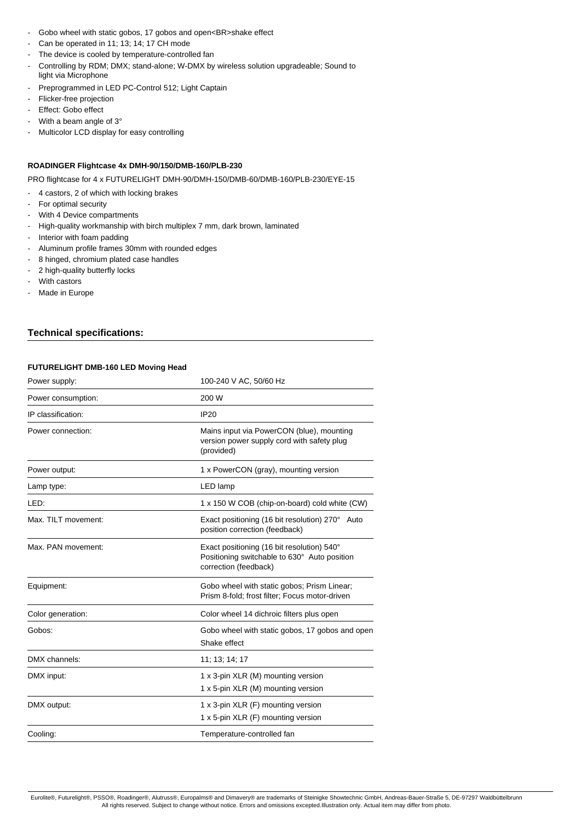- Gobo wheel with static gobos, 17 gobos and open<BR>shake effect
- Can be operated in 11; 13; 14; 17 CH mode
- The device is cooled by temperature-controlled fan
- Controlling by RDM; DMX; stand-alone; W-DMX by wireless solution upgradeable; Sound to light via Microphone
- Preprogrammed in LED PC-Control 512; Light Captain
- Flicker-free projection
- Effect: Gobo effect
- With a beam angle of 3°
- Multicolor LCD display for easy controlling

## **ROADINGER Flightcase 4x DMH-90/150/DMB-160/PLB-230**

PRO flightcase for 4 x FUTURELIGHT DMH-90/DMH-150/DMB-60/DMB-160/PLB-230/EYE-15

- 4 castors, 2 of which with locking brakes
- For optimal security
- With 4 Device compartments
- High-quality workmanship with birch multiplex 7 mm, dark brown, laminated
- Interior with foam padding
- Aluminum profile frames 30mm with rounded edges
- 8 hinged, chromium plated case handles
- 2 high-quality butterfly locks
- With castors
- Made in Europe

## **Technical specifications:**

#### **FUTURELIGHT DMB-160 LED Moving Head**

| Power supply:       | 100-240 V AC, 50/60 Hz                                                                                              |
|---------------------|---------------------------------------------------------------------------------------------------------------------|
| Power consumption:  | 200 W                                                                                                               |
| IP classification:  | <b>IP20</b>                                                                                                         |
| Power connection:   | Mains input via PowerCON (blue), mounting<br>version power supply cord with safety plug<br>(provided)               |
| Power output:       | 1 x PowerCON (gray), mounting version                                                                               |
| Lamp type:          | LED lamp                                                                                                            |
| LED:                | 1 x 150 W COB (chip-on-board) cold white (CW)                                                                       |
| Max. TILT movement: | Exact positioning (16 bit resolution) 270° Auto<br>position correction (feedback)                                   |
| Max. PAN movement:  | Exact positioning (16 bit resolution) 540°<br>Positioning switchable to 630° Auto position<br>correction (feedback) |
| Equipment:          | Gobo wheel with static gobos; Prism Linear;<br>Prism 8-fold; frost filter; Focus motor-driven                       |
| Color generation:   | Color wheel 14 dichroic filters plus open                                                                           |
| Gobos:              | Gobo wheel with static gobos, 17 gobos and open<br>Shake effect                                                     |
| DMX channels:       | 11; 13; 14; 17                                                                                                      |
| DMX input:          | 1 x 3-pin XLR (M) mounting version<br>1 x 5-pin XLR (M) mounting version                                            |
| DMX output:         | 1 x 3-pin XLR (F) mounting version<br>1 x 5-pin XLR (F) mounting version                                            |
| Cooling:            | Temperature-controlled fan                                                                                          |